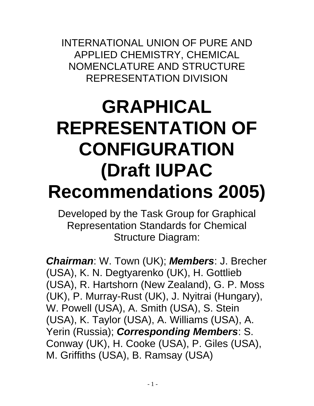INTERNATIONAL UNION OF PURE AND APPLIED CHEMISTRY, CHEMICAL NOMENCLATURE AND STRUCTURE REPRESENTATION DIVISION

# **GRAPHICAL REPRESENTATION OF CONFIGURATION (Draft IUPAC Recommendations 2005)**

Developed by the Task Group for Graphical Representation Standards for Chemical Structure Diagram:

*Chairman*: W. Town (UK); *Members*: J. Brecher (USA), K. N. Degtyarenko (UK), H. Gottlieb (USA), R. Hartshorn (New Zealand), G. P. Moss (UK), P. Murray-Rust (UK), J. Nyitrai (Hungary), W. Powell (USA), A. Smith (USA), S. Stein (USA), K. Taylor (USA), A. Williams (USA), A. Yerin (Russia); *Corresponding Members*: S. Conway (UK), H. Cooke (USA), P. Giles (USA), M. Griffiths (USA), B. Ramsay (USA)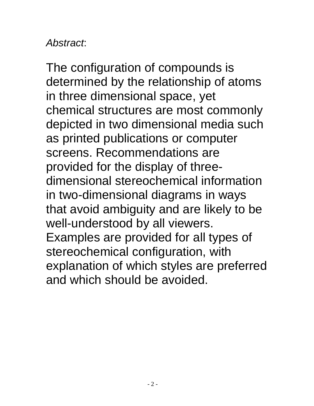# *Abstract*:

The configuration of compounds is determined by the relationship of atoms in three dimensional space, yet chemical structures are most commonly depicted in two dimensional media such as printed publications or computer screens. Recommendations are provided for the display of threedimensional stereochemical information in two-dimensional diagrams in ways that avoid ambiguity and are likely to be well-understood by all viewers. Examples are provided for all types of stereochemical configuration, with explanation of which styles are preferred and which should be avoided.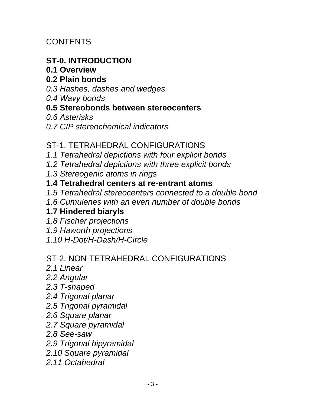**CONTENTS** 

## **ST-0. INTRODUCTION**

#### **0.1 Overview**

#### **0.2 Plain bonds**

- *0.3 Hashes, dashes and wedges*
- *0.4 Wavy bonds*

#### **0.5 Stereobonds between stereocenters**

- *0.6 Asterisks*
- *0.7 CIP stereochemical indicators*

#### ST-1. TETRAHEDRAL CONFIGURATIONS

- *1.1 Tetrahedral depictions with four explicit bonds*
- *1.2 Tetrahedral depictions with three explicit bonds*
- *1.3 Stereogenic atoms in rings*

#### **1.4 Tetrahedral centers at re-entrant atoms**

- *1.5 Tetrahedral stereocenters connected to a double bond*
- *1.6 Cumulenes with an even number of double bonds*

#### **1.7 Hindered biaryls**

- *1.8 Fischer projections*
- *1.9 Haworth projections*
- *1.10 H-Dot/H-Dash/H-Circle*

#### ST-2. NON-TETRAHEDRAL CONFIGURATIONS

- *2.1 Linear*
- *2.2 Angular*
- *2.3 T-shaped*
- *2.4 Trigonal planar*
- *2.5 Trigonal pyramidal*
- *2.6 Square planar*
- *2.7 Square pyramidal*
- *2.8 See-saw*
- *2.9 Trigonal bipyramidal*
- *2.10 Square pyramidal*
- *2.11 Octahedral*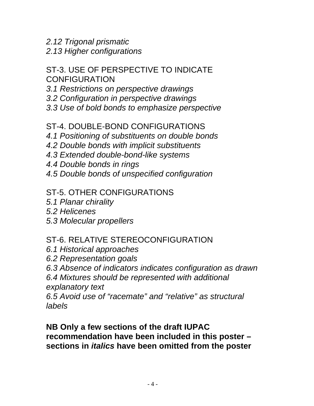*2.12 Trigonal prismatic 2.13 Higher configurations*

#### ST-3. USE OF PERSPECTIVE TO INDICATE **CONFIGURATION**

- *3.1 Restrictions on perspective drawings*
- *3.2 Configuration in perspective drawings*
- *3.3 Use of bold bonds to emphasize perspective*

#### ST-4. DOUBLE-BOND CONFIGURATIONS

*4.1 Positioning of substituents on double bonds 4.2 Double bonds with implicit substituents 4.3 Extended double-bond-like systems*

*4.4 Double bonds in rings 4.5 Double bonds of unspecified configuration*

#### ST-5. OTHER CONFIGURATIONS

- *5.1 Planar chirality*
- *5.2 Helicenes*
- *5.3 Molecular propellers*

# ST-6. RELATIVE STEREOCONFIGURATION

- *6.1 Historical approaches*
- *6.2 Representation goals*

*6.3 Absence of indicators indicates configuration as drawn*

*6.4 Mixtures should be represented with additional explanatory text*

*6.5 Avoid use of "racemate" and "relative" as structural labels*

#### **NB Only a few sections of the draft IUPAC recommendation have been included in this poster – sections in** *italics* **have been omitted from the poster**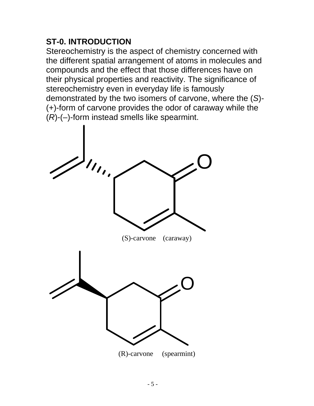## **ST-0. INTRODUCTION**

Stereochemistry is the aspect of chemistry concerned with the different spatial arrangement of atoms in molecules and compounds and the effect that those differences have on their physical properties and reactivity. The significance of stereochemistry even in everyday life is famously demonstrated by the two isomers of carvone, where the (*S*)- (+)-form of carvone provides the odor of caraway while the (*R*)-(–)-form instead smells like spearmint.

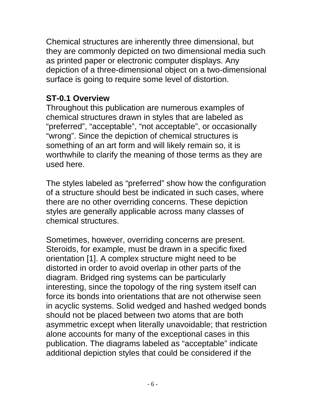Chemical structures are inherently three dimensional, but they are commonly depicted on two dimensional media such as printed paper or electronic computer displays. Any depiction of a three-dimensional object on a two-dimensional surface is going to require some level of distortion.

#### **ST-0.1 Overview**

Throughout this publication are numerous examples of chemical structures drawn in styles that are labeled as "preferred", "acceptable", "not acceptable", or occasionally "wrong". Since the depiction of chemical structures is something of an art form and will likely remain so, it is worthwhile to clarify the meaning of those terms as they are used here.

The styles labeled as "preferred" show how the configuration of a structure should best be indicated in such cases, where there are no other overriding concerns. These depiction styles are generally applicable across many classes of chemical structures.

Sometimes, however, overriding concerns are present. Steroids, for example, must be drawn in a specific fixed orientation [1]. A complex structure might need to be distorted in order to avoid overlap in other parts of the diagram. Bridged ring systems can be particularly interesting, since the topology of the ring system itself can force its bonds into orientations that are not otherwise seen in acyclic systems. Solid wedged and hashed wedged bonds should not be placed between two atoms that are both asymmetric except when literally unavoidable; that restriction alone accounts for many of the exceptional cases in this publication. The diagrams labeled as "acceptable" indicate additional depiction styles that could be considered if the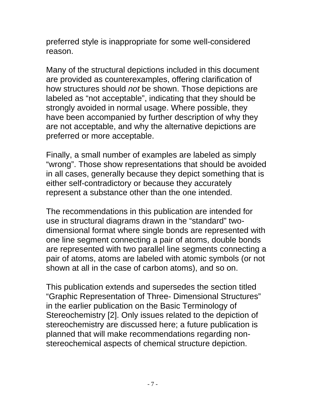preferred style is inappropriate for some well-considered reason.

Many of the structural depictions included in this document are provided as counterexamples, offering clarification of how structures should *not* be shown. Those depictions are labeled as "not acceptable", indicating that they should be strongly avoided in normal usage. Where possible, they have been accompanied by further description of why they are not acceptable, and why the alternative depictions are preferred or more acceptable.

Finally, a small number of examples are labeled as simply "wrong". Those show representations that should be avoided in all cases, generally because they depict something that is either self-contradictory or because they accurately represent a substance other than the one intended.

The recommendations in this publication are intended for use in structural diagrams drawn in the "standard" twodimensional format where single bonds are represented with one line segment connecting a pair of atoms, double bonds are represented with two parallel line segments connecting a pair of atoms, atoms are labeled with atomic symbols (or not shown at all in the case of carbon atoms), and so on.

This publication extends and supersedes the section titled "Graphic Representation of Three- Dimensional Structures" in the earlier publication on the Basic Terminology of Stereochemistry [2]. Only issues related to the depiction of stereochemistry are discussed here; a future publication is planned that will make recommendations regarding nonstereochemical aspects of chemical structure depiction.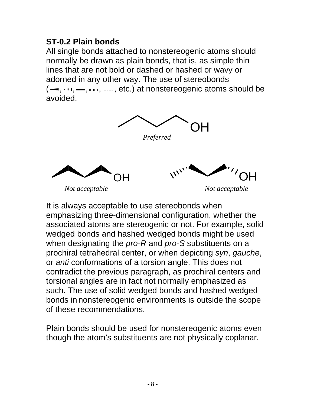#### **ST-0.2 Plain bonds**

All single bonds attached to nonstereogenic atoms should normally be drawn as plain bonds, that is, as simple thin lines that are not bold or dashed or hashed or wavy or adorned in any other way. The use of stereobonds  $(-, \dots, -, \dots, -, etc.)$  at nonstereogenic atoms should be avoided.



It is always acceptable to use stereobonds when emphasizing three-dimensional configuration, whether the associated atoms are stereogenic or not. For example, solid wedged bonds and hashed wedged bonds might be used when designating the *pro-R* and *pro-S* substituents on a prochiral tetrahedral center, or when depicting *syn*, *gauche*, or *anti* conformations of a torsion angle. This does not contradict the previous paragraph, as prochiral centers and torsional angles are in fact not normally emphasized as such. The use of solid wedged bonds and hashed wedged bonds in nonstereogenic environments is outside the scope of these recommendations.

Plain bonds should be used for nonstereogenic atoms even though the atom's substituents are not physically coplanar.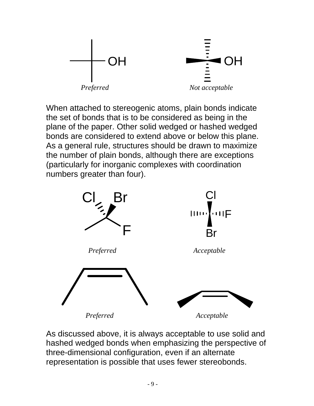

When attached to stereogenic atoms, plain bonds indicate the set of bonds that is to be considered as being in the plane of the paper. Other solid wedged or hashed wedged bonds are considered to extend above or below this plane. As a general rule, structures should be drawn to maximize the number of plain bonds, although there are exceptions (particularly for inorganic complexes with coordination numbers greater than four).



As discussed above, it is always acceptable to use solid and hashed wedged bonds when emphasizing the perspective of three-dimensional configuration, even if an alternate representation is possible that uses fewer stereobonds.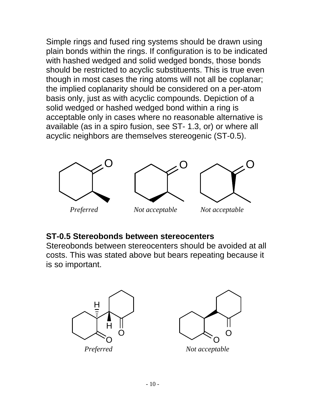Simple rings and fused ring systems should be drawn using plain bonds within the rings. If configuration is to be indicated with hashed wedged and solid wedged bonds, those bonds should be restricted to acyclic substituents. This is true even though in most cases the ring atoms will not all be coplanar; the implied coplanarity should be considered on a per-atom basis only, just as with acyclic compounds. Depiction of a solid wedged or hashed wedged bond within a ring is acceptable only in cases where no reasonable alternative is available (as in a spiro fusion, see ST- 1.3, or) or where all acyclic neighbors are themselves stereogenic (ST-0.5).



#### **ST-0.5 Stereobonds between stereocenters**

Stereobonds between stereocenters should be avoided at all costs. This was stated above but bears repeating because it is so important.



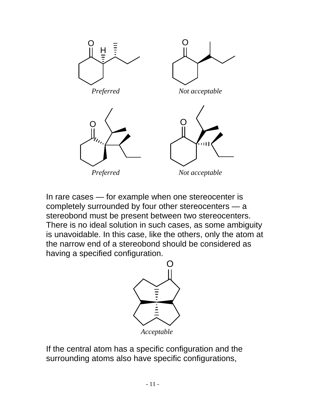

In rare cases — for example when one stereocenter is completely surrounded by four other stereocenters — a stereobond must be present between two stereocenters. There is no ideal solution in such cases, as some ambiguity is unavoidable. In this case, like the others, only the atom at the narrow end of a stereobond should be considered as having a specified configuration.



If the central atom has a specific configuration and the surrounding atoms also have specific configurations,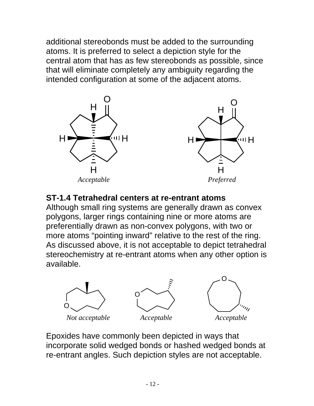additional stereobonds must be added to the surrounding atoms. It is preferred to select a depiction style for the central atom that has as few stereobonds as possible, since that will eliminate completely any ambiguity regarding the intended configuration at some of the adjacent atoms.



#### **ST-1.4 Tetrahedral centers at re-entrant atoms**

Although small ring systems are generally drawn as convex polygons, larger rings containing nine or more atoms are preferentially drawn as non-convex polygons, with two or more atoms "pointing inward" relative to the rest of the ring. As discussed above, it is not acceptable to depict tetrahedral stereochemistry at re-entrant atoms when any other option is available.



Epoxides have commonly been depicted in ways that incorporate solid wedged bonds or hashed wedged bonds at re-entrant angles. Such depiction styles are not acceptable.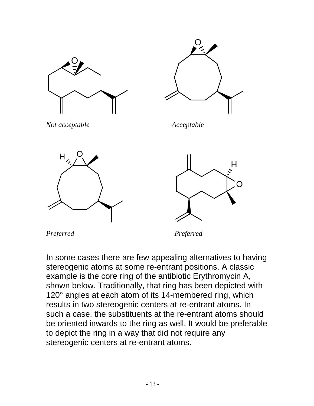

In some cases there are few appealing alternatives to having stereogenic atoms at some re-entrant positions. A classic example is the core ring of the antibiotic Erythromycin A, shown below. Traditionally, that ring has been depicted with 120° angles at each atom of its 14-membered ring, which results in two stereogenic centers at re-entrant atoms. In such a case, the substituents at the re-entrant atoms should be oriented inwards to the ring as well. It would be preferable to depict the ring in a way that did not require any stereogenic centers at re-entrant atoms.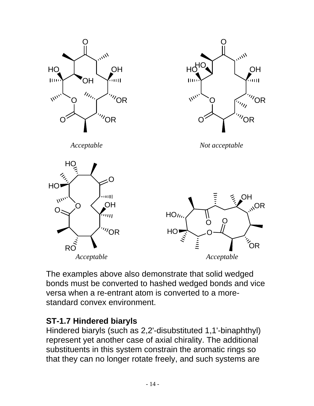

The examples above also demonstrate that solid wedged bonds must be converted to hashed wedged bonds and vice versa when a re-entrant atom is converted to a morestandard convex environment.

#### **ST-1.7 Hindered biaryls**

Hindered biaryls (such as 2,2'-disubstituted 1,1'-binaphthyl) represent yet another case of axial chirality. The additional substituents in this system constrain the aromatic rings so that they can no longer rotate freely, and such systems are